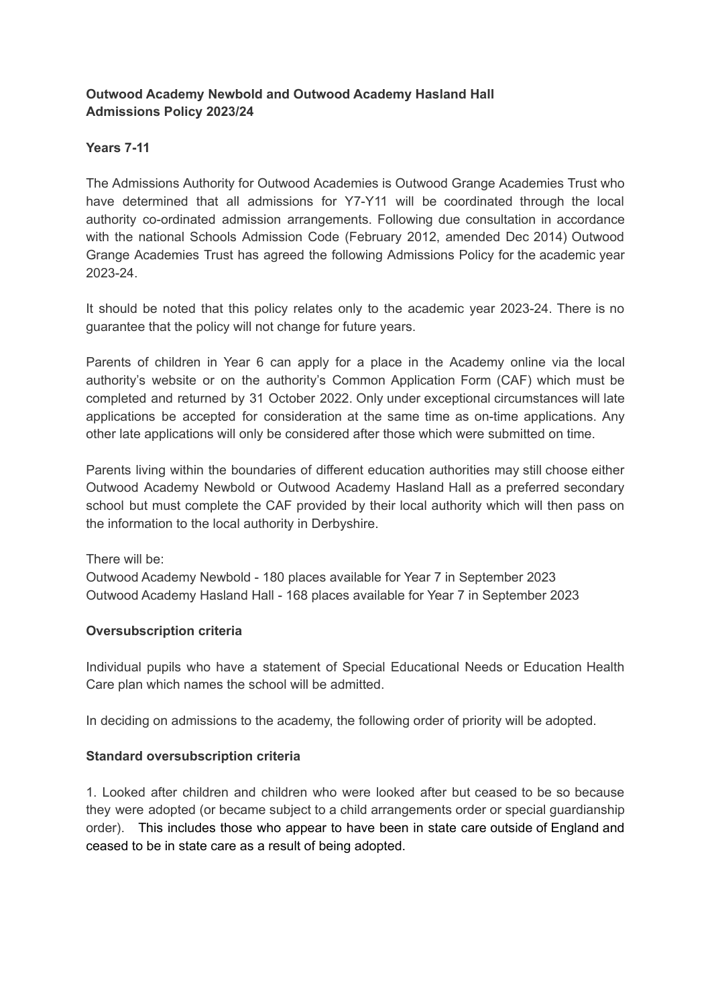# **Outwood Academy Newbold and Outwood Academy Hasland Hall Admissions Policy 2023/24**

# **Years 7-11**

The Admissions Authority for Outwood Academies is Outwood Grange Academies Trust who have determined that all admissions for Y7-Y11 will be coordinated through the local authority co-ordinated admission arrangements. Following due consultation in accordance with the national Schools Admission Code (February 2012, amended Dec 2014) Outwood Grange Academies Trust has agreed the following Admissions Policy for the academic year 2023-24.

It should be noted that this policy relates only to the academic year 2023-24. There is no guarantee that the policy will not change for future years.

Parents of children in Year 6 can apply for a place in the Academy online via the local authority's website or on the authority's Common Application Form (CAF) which must be completed and returned by 31 October 2022. Only under exceptional circumstances will late applications be accepted for consideration at the same time as on-time applications. Any other late applications will only be considered after those which were submitted on time.

Parents living within the boundaries of different education authorities may still choose either Outwood Academy Newbold or Outwood Academy Hasland Hall as a preferred secondary school but must complete the CAF provided by their local authority which will then pass on the information to the local authority in Derbyshire.

There will be: Outwood Academy Newbold - 180 places available for Year 7 in September 2023 Outwood Academy Hasland Hall - 168 places available for Year 7 in September 2023

## **Oversubscription criteria**

Individual pupils who have a statement of Special Educational Needs or Education Health Care plan which names the school will be admitted.

In deciding on admissions to the academy, the following order of priority will be adopted.

## **Standard oversubscription criteria**

1. Looked after children and children who were looked after but ceased to be so because they were adopted (or became subject to a child arrangements order or special guardianship order). This includes those who appear to have been in state care outside of England and ceased to be in state care as a result of being adopted.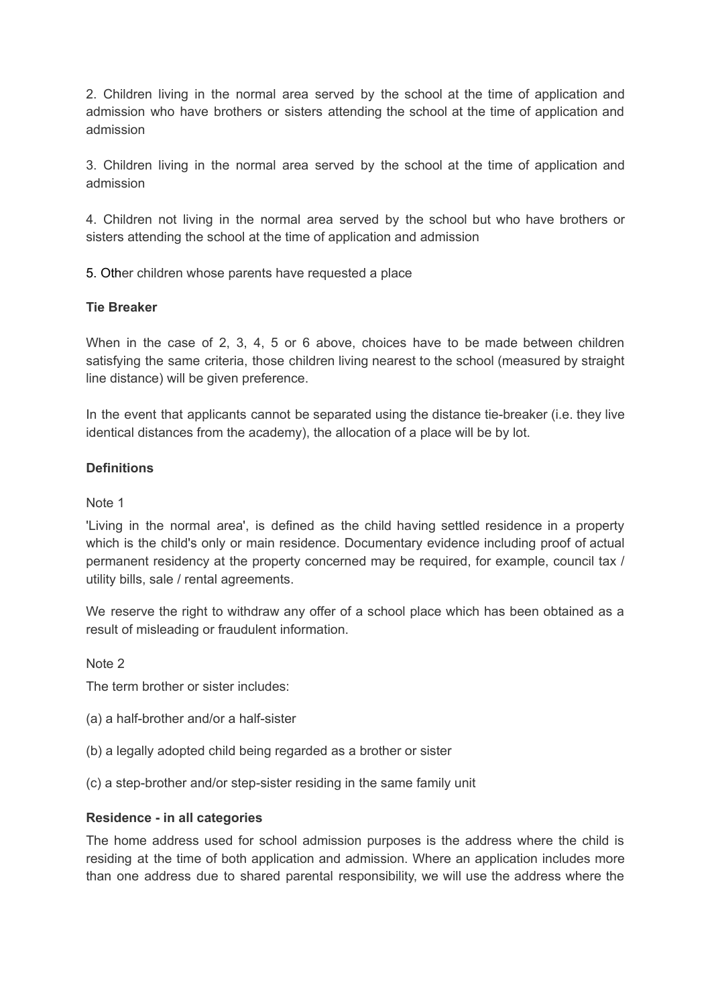2. Children living in the normal area served by the school at the time of application and admission who have brothers or sisters attending the school at the time of application and admission

3. Children living in the normal area served by the school at the time of application and admission

4. Children not living in the normal area served by the school but who have brothers or sisters attending the school at the time of application and admission

5. Other children whose parents have requested a place

### **Tie Breaker**

When in the case of 2, 3, 4, 5 or 6 above, choices have to be made between children satisfying the same criteria, those children living nearest to the school (measured by straight line distance) will be given preference.

In the event that applicants cannot be separated using the distance tie-breaker (i.e. they live identical distances from the academy), the allocation of a place will be by lot.

#### **Definitions**

### Note 1

'Living in the normal area', is defined as the child having settled residence in a property which is the child's only or main residence. Documentary evidence including proof of actual permanent residency at the property concerned may be required, for example, council tax / utility bills, sale / rental agreements.

We reserve the right to withdraw any offer of a school place which has been obtained as a result of misleading or fraudulent information.

Note 2

The term brother or sister includes:

- (a) a half-brother and/or a half-sister
- (b) a legally adopted child being regarded as a brother or sister
- (c) a step-brother and/or step-sister residing in the same family unit

#### **Residence - in all categories**

The home address used for school admission purposes is the address where the child is residing at the time of both application and admission. Where an application includes more than one address due to shared parental responsibility, we will use the address where the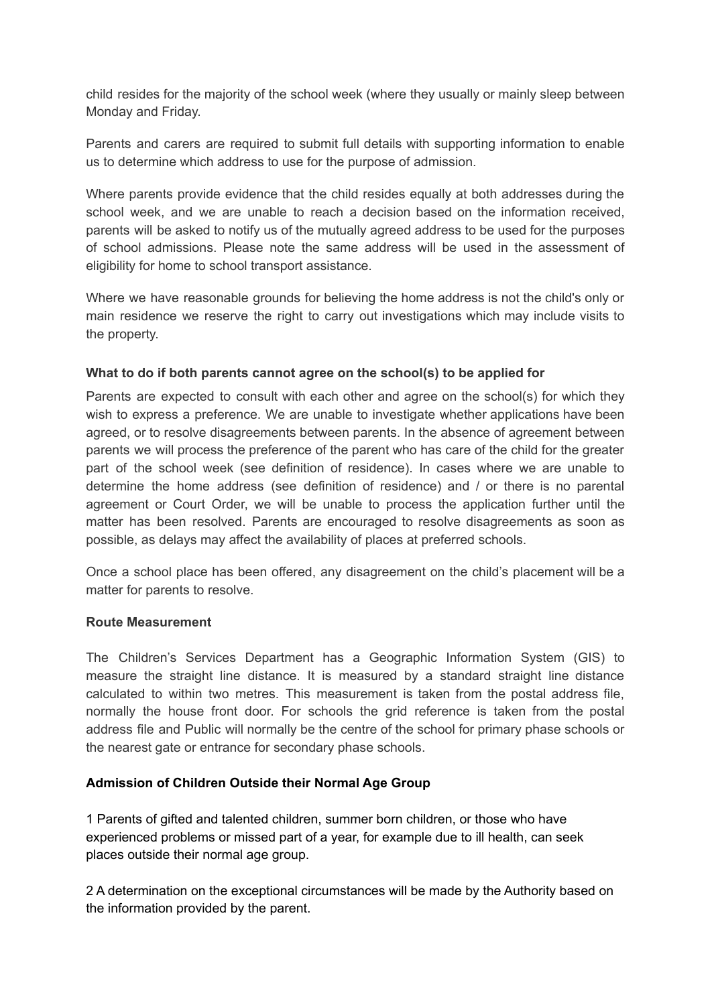child resides for the majority of the school week (where they usually or mainly sleep between Monday and Friday.

Parents and carers are required to submit full details with supporting information to enable us to determine which address to use for the purpose of admission.

Where parents provide evidence that the child resides equally at both addresses during the school week, and we are unable to reach a decision based on the information received, parents will be asked to notify us of the mutually agreed address to be used for the purposes of school admissions. Please note the same address will be used in the assessment of eligibility for home to school transport assistance.

Where we have reasonable grounds for believing the home address is not the child's only or main residence we reserve the right to carry out investigations which may include visits to the property.

### **What to do if both parents cannot agree on the school(s) to be applied for**

Parents are expected to consult with each other and agree on the school(s) for which they wish to express a preference. We are unable to investigate whether applications have been agreed, or to resolve disagreements between parents. In the absence of agreement between parents we will process the preference of the parent who has care of the child for the greater part of the school week (see definition of residence). In cases where we are unable to determine the home address (see definition of residence) and / or there is no parental agreement or Court Order, we will be unable to process the application further until the matter has been resolved. Parents are encouraged to resolve disagreements as soon as possible, as delays may affect the availability of places at preferred schools.

Once a school place has been offered, any disagreement on the child's placement will be a matter for parents to resolve.

#### **Route Measurement**

The Children's Services Department has a Geographic Information System (GIS) to measure the straight line distance. It is measured by a standard straight line distance calculated to within two metres. This measurement is taken from the postal address file, normally the house front door. For schools the grid reference is taken from the postal address file and Public will normally be the centre of the school for primary phase schools or the nearest gate or entrance for secondary phase schools.

## **Admission of Children Outside their Normal Age Group**

1 Parents of gifted and talented children, summer born children, or those who have experienced problems or missed part of a year, for example due to ill health, can seek places outside their normal age group.

2 A determination on the exceptional circumstances will be made by the Authority based on the information provided by the parent.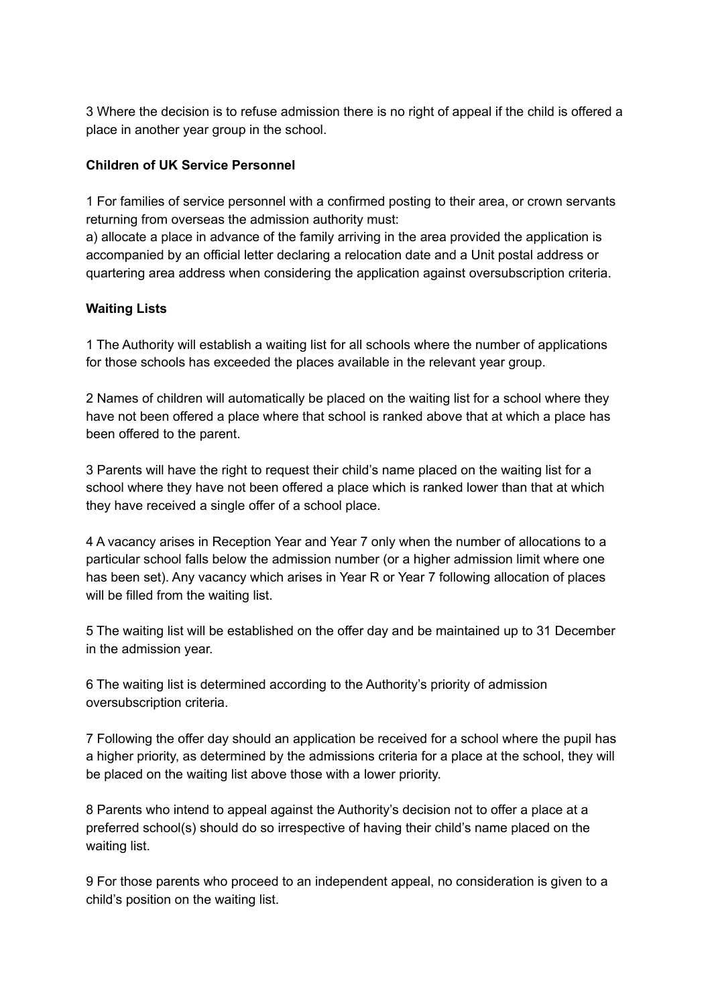3 Where the decision is to refuse admission there is no right of appeal if the child is offered a place in another year group in the school.

# **Children of UK Service Personnel**

1 For families of service personnel with a confirmed posting to their area, or crown servants returning from overseas the admission authority must:

a) allocate a place in advance of the family arriving in the area provided the application is accompanied by an official letter declaring a relocation date and a Unit postal address or quartering area address when considering the application against oversubscription criteria.

# **Waiting Lists**

1 The Authority will establish a waiting list for all schools where the number of applications for those schools has exceeded the places available in the relevant year group.

2 Names of children will automatically be placed on the waiting list for a school where they have not been offered a place where that school is ranked above that at which a place has been offered to the parent.

3 Parents will have the right to request their child's name placed on the waiting list for a school where they have not been offered a place which is ranked lower than that at which they have received a single offer of a school place.

4 A vacancy arises in Reception Year and Year 7 only when the number of allocations to a particular school falls below the admission number (or a higher admission limit where one has been set). Any vacancy which arises in Year R or Year 7 following allocation of places will be filled from the waiting list.

5 The waiting list will be established on the offer day and be maintained up to 31 December in the admission year.

6 The waiting list is determined according to the Authority's priority of admission oversubscription criteria.

7 Following the offer day should an application be received for a school where the pupil has a higher priority, as determined by the admissions criteria for a place at the school, they will be placed on the waiting list above those with a lower priority.

8 Parents who intend to appeal against the Authority's decision not to offer a place at a preferred school(s) should do so irrespective of having their child's name placed on the waiting list.

9 For those parents who proceed to an independent appeal, no consideration is given to a child's position on the waiting list.